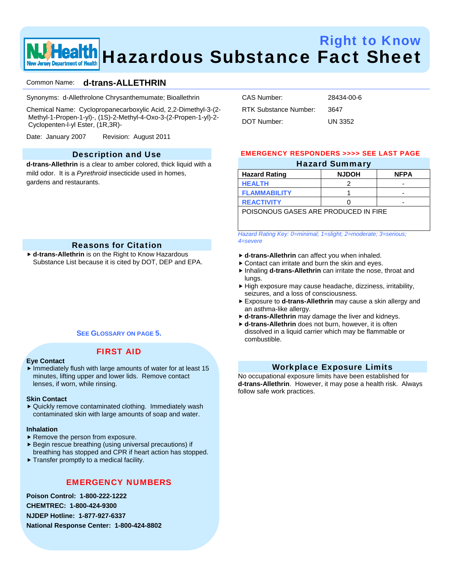

## Common Name: **d-trans-ALLETHRIN**

Synonyms: d-Allethrolone Chrysanthemumate; Bioallethrin

Chemical Name: Cyclopropanecarboxylic Acid, 2,2-Dimethyl-3-(2- Methyl-1-Propen-1-yl)-, (1S)-2-Methyl-4-Oxo-3-(2-Propen-1-yl)-2- Cyclopenten-l-yl Ester, (1R,3R)-

Date: January 2007 Revision: August 2011

#### Description and Use

**d-trans-Allethrin** is a clear to amber colored, thick liquid with a mild odor. It is a *Pyrethroid* insecticide used in homes, gardens and restaurants.

### Reasons for Citation

► **d-trans-Allethrin** is on the Right to Know Hazardous Substance List because it is cited by DOT, DEP and EPA.

#### **SEE GLOSSARY ON PAGE 5.**

#### **Eye Contact**

- FIRST AID
- $\blacktriangleright$  Immediately flush with large amounts of water for at least 15 minutes, lifting upper and lower lids. Remove contact lenses, if worn, while rinsing.

#### **Skin Contact**

 $\blacktriangleright$  Quickly remove contaminated clothing. Immediately wash contaminated skin with large amounts of soap and water.

#### **Inhalation**

- $\blacktriangleright$  Remove the person from exposure.
- $\blacktriangleright$  Begin rescue breathing (using universal precautions) if breathing has stopped and CPR if heart action has stopped.
- $\blacktriangleright$  Transfer promptly to a medical facility.

#### EMERGENCY NUMBERS

**Poison Control: 1-800-222-1222 CHEMTREC: 1-800-424-9300 NJDEP Hotline: 1-877-927-6337 National Response Center: 1-800-424-8802** 

| CAS Number:           | 28434-00-6 |
|-----------------------|------------|
| RTK Substance Number: | 3647       |
| DOT Number:           | UN 3352    |

## EMERGENCY RESPONDERS >>>> SEE LAST PAGE

| <b>Hazard Summary</b> |              |             |
|-----------------------|--------------|-------------|
| <b>Hazard Rating</b>  | <b>NJDOH</b> | <b>NFPA</b> |
| <b>HEALTH</b>         |              | -           |
| <b>FLAMMABILITY</b>   |              | -           |
| <b>REACTIVITY</b>     |              | -           |

POISONOUS GASES ARE PRODUCED IN FIRE

*Hazard Rating Key: 0=minimal; 1=slight; 2=moderate; 3=serious; 4=severe*

- ▶ d-trans-Allethrin can affect you when inhaled.
- $\triangleright$  Contact can irritate and burn the skin and eyes.
- f Inhaling **d-trans-Allethrin** can irritate the nose, throat and lungs.
- $\blacktriangleright$  High exposure may cause headache, dizziness, irritability, seizures, and a loss of consciousness.
- **F** Exposure to **d-trans-Allethrin** may cause a skin allergy and an asthma-like allergy.
- ► d-trans-Allethrin may damage the liver and kidneys.
- ▶ d-trans-Allethrin does not burn, however, it is often dissolved in a liquid carrier which may be flammable or combustible.

### Workplace Exposure Limits

No occupational exposure limits have been established for **d-trans-Allethrin**. However, it may pose a health risk. Always follow safe work practices.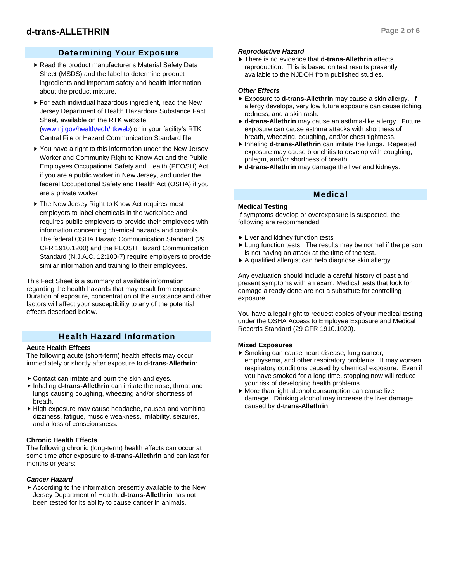# Determining Your Exposure

- Read the product manufacturer's Material Safety Data Sheet (MSDS) and the label to determine product ingredients and important safety and health information about the product mixture.
- $\blacktriangleright$  For each individual hazardous ingredient, read the New Jersey Department of Health Hazardous Substance Fact Sheet, available on the RTK website (www.nj.gov/health/eoh/rtkweb) or in your facility's RTK Central File or Hazard Communication Standard file.
- $\blacktriangleright$  You have a right to this information under the New Jersey Worker and Community Right to Know Act and the Public Employees Occupational Safety and Health (PEOSH) Act if you are a public worker in New Jersey, and under the federal Occupational Safety and Health Act (OSHA) if you are a private worker.
- ▶ The New Jersey Right to Know Act requires most employers to label chemicals in the workplace and requires public employers to provide their employees with information concerning chemical hazards and controls. The federal OSHA Hazard Communication Standard (29 CFR 1910.1200) and the PEOSH Hazard Communication Standard (N.J.A.C. 12:100-7) require employers to provide similar information and training to their employees.

This Fact Sheet is a summary of available information regarding the health hazards that may result from exposure. Duration of exposure, concentration of the substance and other factors will affect your susceptibility to any of the potential effects described below.

# Health Hazard Information

#### **Acute Health Effects**

The following acute (short-term) health effects may occur immediately or shortly after exposure to **d-trans-Allethrin**:

- $\triangleright$  Contact can irritate and burn the skin and eves.
- **F** Inhaling **d-trans-Allethrin** can irritate the nose, throat and lungs causing coughing, wheezing and/or shortness of breath.
- $\blacktriangleright$  High exposure may cause headache, nausea and vomiting, dizziness, fatigue, muscle weakness, irritability, seizures, and a loss of consciousness.

#### **Chronic Health Effects**

The following chronic (long-term) health effects can occur at some time after exposure to **d-trans-Allethrin** and can last for months or years:

### *Cancer Hazard*

 $\blacktriangleright$  According to the information presently available to the New Jersey Department of Health, **d-trans-Allethrin** has not been tested for its ability to cause cancer in animals.

#### *Reproductive Hazard*

 $\triangleright$  There is no evidence that **d-trans-Allethrin** affects reproduction. This is based on test results presently available to the NJDOH from published studies.

### *Other Effects*

- **Exposure to d-trans-Allethrin** may cause a skin allergy. If allergy develops, very low future exposure can cause itching, redness, and a skin rash.
- ▶ d-trans-Allethrin may cause an asthma-like allergy. Future exposure can cause asthma attacks with shortness of breath, wheezing, coughing, and/or chest tightness.
- **h** Inhaling **d-trans-Allethrin** can irritate the lungs. Repeated exposure may cause bronchitis to develop with coughing, phlegm, and/or shortness of breath.
- **d-trans-Allethrin** may damage the liver and kidneys.

# Medical

## **Medical Testing**

If symptoms develop or overexposure is suspected, the following are recommended:

- $\blacktriangleright$  Liver and kidney function tests
- $\blacktriangleright$  Lung function tests. The results may be normal if the person is not having an attack at the time of the test.
- $\blacktriangleright$  A qualified allergist can help diagnose skin allergy.

Any evaluation should include a careful history of past and present symptoms with an exam. Medical tests that look for damage already done are not a substitute for controlling exposure.

You have a legal right to request copies of your medical testing under the OSHA Access to Employee Exposure and Medical Records Standard (29 CFR 1910.1020).

#### **Mixed Exposures**

- $\blacktriangleright$  Smoking can cause heart disease, lung cancer, emphysema, and other respiratory problems. It may worsen respiratory conditions caused by chemical exposure. Even if you have smoked for a long time, stopping now will reduce your risk of developing health problems.
- $\blacktriangleright$  More than light alcohol consumption can cause liver damage. Drinking alcohol may increase the liver damage caused by **d-trans-Allethrin**.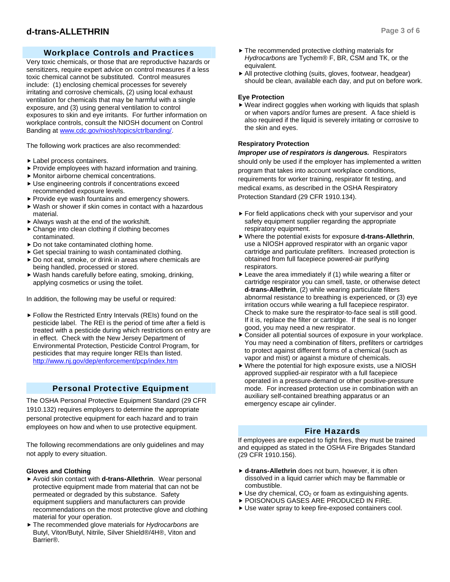# Workplace Controls and Practices

Very toxic chemicals, or those that are reproductive hazards or sensitizers, require expert advice on control measures if a less toxic chemical cannot be substituted. Control measures include: (1) enclosing chemical processes for severely irritating and corrosive chemicals, (2) using local exhaust ventilation for chemicals that may be harmful with a single exposure, and (3) using general ventilation to control exposures to skin and eye irritants. For further information on workplace controls, consult the NIOSH document on Control Banding at www.cdc.gov/niosh/topics/ctrlbanding/.

The following work practices are also recommended:

- $\blacktriangleright$  Label process containers.
- $\blacktriangleright$  Provide employees with hazard information and training.
- $\blacktriangleright$  Monitor airborne chemical concentrations.
- $\blacktriangleright$  Use engineering controls if concentrations exceed recommended exposure levels.
- $\blacktriangleright$  Provide eye wash fountains and emergency showers.
- $\blacktriangleright$  Wash or shower if skin comes in contact with a hazardous material.
- $\blacktriangleright$  Always wash at the end of the workshift.
- $\triangleright$  Change into clean clothing if clothing becomes contaminated.
- $\triangleright$  Do not take contaminated clothing home.
- $\triangleright$  Get special training to wash contaminated clothing.
- $\triangleright$  Do not eat, smoke, or drink in areas where chemicals are being handled, processed or stored.
- $\blacktriangleright$  Wash hands carefully before eating, smoking, drinking, applying cosmetics or using the toilet.

In addition, the following may be useful or required:

▶ Follow the Restricted Entry Intervals (REIs) found on the pesticide label. The REI is the period of time after a field is treated with a pesticide during which restrictions on entry are in effect. Check with the New Jersey Department of Environmental Protection, Pesticide Control Program, for pesticides that may require longer REIs than listed. http://www.nj.gov/dep/enforcement/pcp/index.htm

# Personal Protective Equipment

The OSHA Personal Protective Equipment Standard (29 CFR 1910.132) requires employers to determine the appropriate personal protective equipment for each hazard and to train employees on how and when to use protective equipment.

The following recommendations are only guidelines and may not apply to every situation.

### **Gloves and Clothing**

- ▶ Avoid skin contact with **d-trans-Allethrin**. Wear personal protective equipment made from material that can not be permeated or degraded by this substance. Safety equipment suppliers and manufacturers can provide recommendations on the most protective glove and clothing material for your operation.
- $\blacktriangleright$  The recommended glove materials for *Hydrocarbons* are Butyl, Viton/Butyl, Nitrile, Silver Shield®/4H®, Viton and Barrier®.
- 
- $\blacktriangleright$  The recommended protective clothing materials for *Hydrocarbons* are Tychem® F, BR, CSM and TK, or the equivalent.
- $\blacktriangleright$  All protective clothing (suits, gloves, footwear, headgear) should be clean, available each day, and put on before work.

### **Eye Protection**

 $\blacktriangleright$  Wear indirect goggles when working with liquids that splash or when vapors and/or fumes are present. A face shield is also required if the liquid is severely irritating or corrosive to the skin and eyes.

### **Respiratory Protection**

*Improper use of respirators is dangerous.* Respirators should only be used if the employer has implemented a written program that takes into account workplace conditions, requirements for worker training, respirator fit testing, and medical exams, as described in the OSHA Respiratory Protection Standard (29 CFR 1910.134).

- $\blacktriangleright$  For field applications check with your supervisor and your safety equipment supplier regarding the appropriate respiratory equipment.
- $\triangleright$  Where the potential exists for exposure **d-trans-Allethrin**, use a NIOSH approved respirator with an organic vapor cartridge and particulate prefilters. Increased protection is obtained from full facepiece powered-air purifying respirators.
- $\blacktriangleright$  Leave the area immediately if (1) while wearing a filter or cartridge respirator you can smell, taste, or otherwise detect **d-trans-Allethrin**, (2) while wearing particulate filters abnormal resistance to breathing is experienced, or (3) eye irritation occurs while wearing a full facepiece respirator. Check to make sure the respirator-to-face seal is still good. If it is, replace the filter or cartridge. If the seal is no longer good, you may need a new respirator.
- $\triangleright$  Consider all potential sources of exposure in your workplace. You may need a combination of filters, prefilters or cartridges to protect against different forms of a chemical (such as vapor and mist) or against a mixture of chemicals.
- $\blacktriangleright$  Where the potential for high exposure exists, use a NIOSH approved supplied-air respirator with a full facepiece operated in a pressure-demand or other positive-pressure mode. For increased protection use in combination with an auxiliary self-contained breathing apparatus or an emergency escape air cylinder.

## Fire Hazards

If employees are expected to fight fires, they must be trained and equipped as stated in the OSHA Fire Brigades Standard (29 CFR 1910.156).

- ► **d-trans-Allethrin** does not burn, however, it is often dissolved in a liquid carrier which may be flammable or combustible.
- $\triangleright$  Use dry chemical, CO<sub>2</sub> or foam as extinguishing agents.
- **POISONOUS GASES ARE PRODUCED IN FIRE.**
- $\blacktriangleright$  Use water spray to keep fire-exposed containers cool.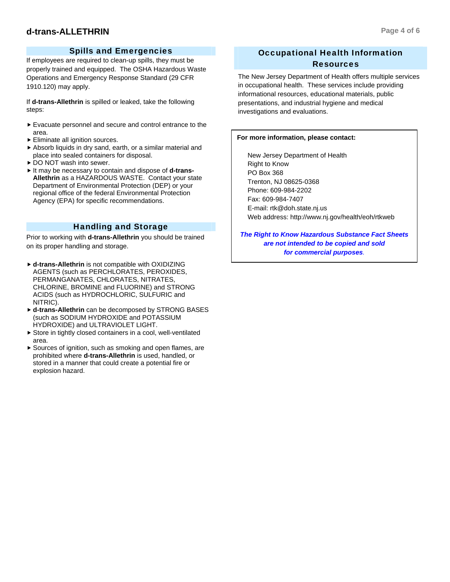# Spills and Emergencies

If employees are required to clean-up spills, they must be properly trained and equipped. The OSHA Hazardous Waste Operations and Emergency Response Standard (29 CFR 1910.120) may apply.

If **d-trans-Allethrin** is spilled or leaked, take the following steps:

- $\blacktriangleright$  Evacuate personnel and secure and control entrance to the area.
- $\blacktriangleright$  Eliminate all ignition sources.
- $\blacktriangleright$  Absorb liquids in dry sand, earth, or a similar material and place into sealed containers for disposal.
- ▶ DO NOT wash into sewer.
- It may be necessary to contain and dispose of **d-trans-Allethrin** as a HAZARDOUS WASTE. Contact your state Department of Environmental Protection (DEP) or your regional office of the federal Environmental Protection Agency (EPA) for specific recommendations.

# Handling and Storage

Prior to working with **d-trans-Allethrin** you should be trained on its proper handling and storage.

- $\triangleright$  d-trans-Allethrin is not compatible with OXIDIZING AGENTS (such as PERCHLORATES, PEROXIDES, PERMANGANATES, CHLORATES, NITRATES, CHLORINE, BROMINE and FLUORINE) and STRONG ACIDS (such as HYDROCHLORIC, SULFURIC and NITRIC).
- ► d-trans-Allethrin can be decomposed by STRONG BASES (such as SODIUM HYDROXIDE and POTASSIUM HYDROXIDE) and ULTRAVIOLET LIGHT.
- $\triangleright$  Store in tightly closed containers in a cool, well-ventilated area.
- $\blacktriangleright$  Sources of ignition, such as smoking and open flames, are prohibited where **d-trans-Allethrin** is used, handled, or stored in a manner that could create a potential fire or explosion hazard.

# Occupational Health Information Resources

The New Jersey Department of Health offers multiple services in occupational health. These services include providing informational resources, educational materials, public presentations, and industrial hygiene and medical investigations and evaluations.

### **For more information, please contact:**

 New Jersey Department of Health Right to Know PO Box 368 Trenton, NJ 08625-0368 Phone: 609-984-2202 Fax: 609-984-7407 E-mail: rtk@doh.state.nj.us Web address: http://www.nj.gov/health/eoh/rtkweb

*The Right to Know Hazardous Substance Fact Sheets are not intended to be copied and sold for commercial purposes.*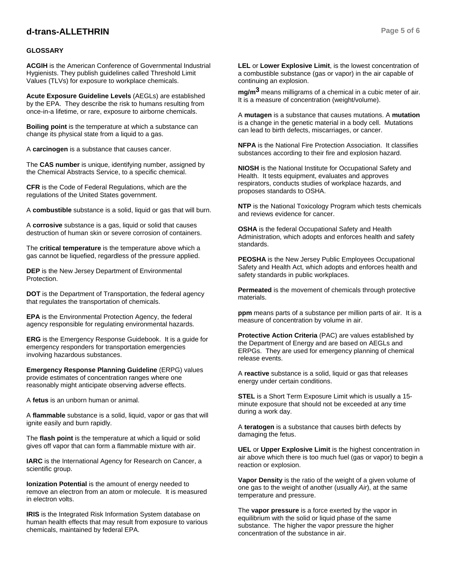# **d-trans-ALLETHRIN Page 5 of 6**

### **GLOSSARY**

**ACGIH** is the American Conference of Governmental Industrial Hygienists. They publish guidelines called Threshold Limit Values (TLVs) for exposure to workplace chemicals.

**Acute Exposure Guideline Levels** (AEGLs) are established by the EPA. They describe the risk to humans resulting from once-in-a lifetime, or rare, exposure to airborne chemicals.

**Boiling point** is the temperature at which a substance can change its physical state from a liquid to a gas.

A **carcinogen** is a substance that causes cancer.

The **CAS number** is unique, identifying number, assigned by the Chemical Abstracts Service, to a specific chemical.

**CFR** is the Code of Federal Regulations, which are the regulations of the United States government.

A **combustible** substance is a solid, liquid or gas that will burn.

A **corrosive** substance is a gas, liquid or solid that causes destruction of human skin or severe corrosion of containers.

The **critical temperature** is the temperature above which a gas cannot be liquefied, regardless of the pressure applied.

**DEP** is the New Jersey Department of Environmental Protection.

**DOT** is the Department of Transportation, the federal agency that regulates the transportation of chemicals.

**EPA** is the Environmental Protection Agency, the federal agency responsible for regulating environmental hazards.

**ERG** is the Emergency Response Guidebook. It is a guide for emergency responders for transportation emergencies involving hazardous substances.

**Emergency Response Planning Guideline** (ERPG) values provide estimates of concentration ranges where one reasonably might anticipate observing adverse effects.

A **fetus** is an unborn human or animal.

A **flammable** substance is a solid, liquid, vapor or gas that will ignite easily and burn rapidly.

The **flash point** is the temperature at which a liquid or solid gives off vapor that can form a flammable mixture with air.

**IARC** is the International Agency for Research on Cancer, a scientific group.

**Ionization Potential** is the amount of energy needed to remove an electron from an atom or molecule. It is measured in electron volts.

**IRIS** is the Integrated Risk Information System database on human health effects that may result from exposure to various chemicals, maintained by federal EPA.

**LEL** or **Lower Explosive Limit**, is the lowest concentration of a combustible substance (gas or vapor) in the air capable of continuing an explosion.

**mg/m3** means milligrams of a chemical in a cubic meter of air. It is a measure of concentration (weight/volume).

A **mutagen** is a substance that causes mutations. A **mutation** is a change in the genetic material in a body cell. Mutations can lead to birth defects, miscarriages, or cancer.

**NFPA** is the National Fire Protection Association. It classifies substances according to their fire and explosion hazard.

**NIOSH** is the National Institute for Occupational Safety and Health. It tests equipment, evaluates and approves respirators, conducts studies of workplace hazards, and proposes standards to OSHA.

**NTP** is the National Toxicology Program which tests chemicals and reviews evidence for cancer.

**OSHA** is the federal Occupational Safety and Health Administration, which adopts and enforces health and safety standards.

**PEOSHA** is the New Jersey Public Employees Occupational Safety and Health Act, which adopts and enforces health and safety standards in public workplaces.

**Permeated** is the movement of chemicals through protective materials.

**ppm** means parts of a substance per million parts of air. It is a measure of concentration by volume in air.

**Protective Action Criteria** (PAC) are values established by the Department of Energy and are based on AEGLs and ERPGs. They are used for emergency planning of chemical release events.

A **reactive** substance is a solid, liquid or gas that releases energy under certain conditions.

**STEL** is a Short Term Exposure Limit which is usually a 15 minute exposure that should not be exceeded at any time during a work day.

A **teratogen** is a substance that causes birth defects by damaging the fetus.

**UEL** or **Upper Explosive Limit** is the highest concentration in air above which there is too much fuel (gas or vapor) to begin a reaction or explosion.

**Vapor Density** is the ratio of the weight of a given volume of one gas to the weight of another (usually *Air*), at the same temperature and pressure.

The **vapor pressure** is a force exerted by the vapor in equilibrium with the solid or liquid phase of the same substance. The higher the vapor pressure the higher concentration of the substance in air.